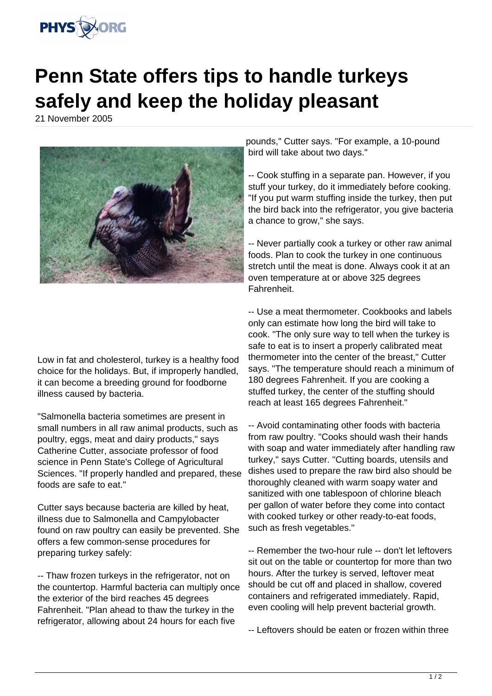

## **Penn State offers tips to handle turkeys safely and keep the holiday pleasant**

21 November 2005



Low in fat and cholesterol, turkey is a healthy food choice for the holidays. But, if improperly handled, it can become a breeding ground for foodborne illness caused by bacteria.

"Salmonella bacteria sometimes are present in small numbers in all raw animal products, such as poultry, eggs, meat and dairy products," says Catherine Cutter, associate professor of food science in Penn State's College of Agricultural Sciences. "If properly handled and prepared, these foods are safe to eat."

Cutter says because bacteria are killed by heat, illness due to Salmonella and Campylobacter found on raw poultry can easily be prevented. She offers a few common-sense procedures for preparing turkey safely:

-- Thaw frozen turkeys in the refrigerator, not on the countertop. Harmful bacteria can multiply once the exterior of the bird reaches 45 degrees Fahrenheit. "Plan ahead to thaw the turkey in the refrigerator, allowing about 24 hours for each five

pounds," Cutter says. "For example, a 10-pound bird will take about two days."

-- Cook stuffing in a separate pan. However, if you stuff your turkey, do it immediately before cooking. "If you put warm stuffing inside the turkey, then put the bird back into the refrigerator, you give bacteria a chance to grow," she says.

-- Never partially cook a turkey or other raw animal foods. Plan to cook the turkey in one continuous stretch until the meat is done. Always cook it at an oven temperature at or above 325 degrees Fahrenheit.

-- Use a meat thermometer. Cookbooks and labels only can estimate how long the bird will take to cook. "The only sure way to tell when the turkey is safe to eat is to insert a properly calibrated meat thermometer into the center of the breast," Cutter says. "The temperature should reach a minimum of 180 degrees Fahrenheit. If you are cooking a stuffed turkey, the center of the stuffing should reach at least 165 degrees Fahrenheit."

-- Avoid contaminating other foods with bacteria from raw poultry. "Cooks should wash their hands with soap and water immediately after handling raw turkey," says Cutter. "Cutting boards, utensils and dishes used to prepare the raw bird also should be thoroughly cleaned with warm soapy water and sanitized with one tablespoon of chlorine bleach per gallon of water before they come into contact with cooked turkey or other ready-to-eat foods, such as fresh vegetables."

-- Remember the two-hour rule -- don't let leftovers sit out on the table or countertop for more than two hours. After the turkey is served, leftover meat should be cut off and placed in shallow, covered containers and refrigerated immediately. Rapid, even cooling will help prevent bacterial growth.

-- Leftovers should be eaten or frozen within three